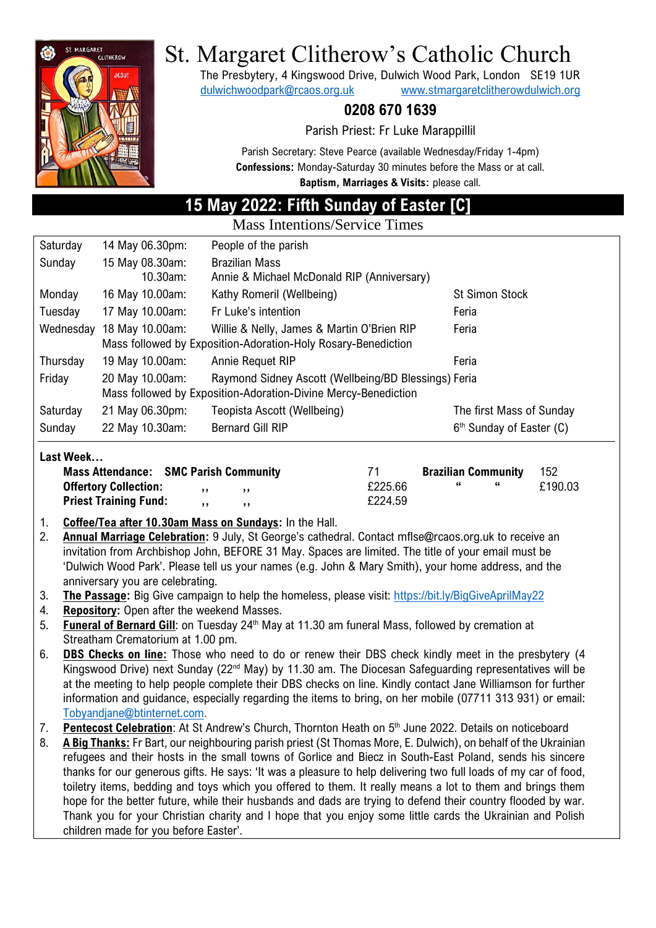

# St. Margaret Clitherow's Catholic Church

The Presbytery, 4 Kingswood Drive, Dulwich Wood Park, London SE19 1UR [dulwichwoodpark@rcaos.org.uk](mailto:dulwichwoodpark@rcaos.org.uk) [www.stmargaretclitherowdulwich.org](http://www.stmargaretclitherowdulwich.org/)

# **0208 670 1639**

Parish Priest: Fr Luke Marappillil

Parish Secretary: Steve Pearce (available Wednesday/Friday 1-4pm) **Confessions:** Monday-Saturday 30 minutes before the Mass or at call. **Baptism, Marriages & Visits:** please call.

# **15 May 2022: Fifth Sunday of Easter [C]**

Mass Intentions/Service Times

| Saturday  | 14 May 06.30pm:                                                | People of the parish                                 |                                      |  |  |  |  |  |  |
|-----------|----------------------------------------------------------------|------------------------------------------------------|--------------------------------------|--|--|--|--|--|--|
| Sunday    | 15 May 08.30am:                                                | <b>Brazilian Mass</b>                                |                                      |  |  |  |  |  |  |
|           | 10.30am:                                                       | Annie & Michael McDonald RIP (Anniversary)           |                                      |  |  |  |  |  |  |
| Monday    | 16 May 10.00am:                                                | Kathy Romeril (Wellbeing)                            | <b>St Simon Stock</b>                |  |  |  |  |  |  |
| Tuesday   | 17 May 10.00am:                                                | Fr Luke's intention                                  | Feria                                |  |  |  |  |  |  |
| Wednesday | 18 May 10.00am:                                                | Willie & Nelly, James & Martin O'Brien RIP           | Feria                                |  |  |  |  |  |  |
|           | Mass followed by Exposition-Adoration-Holy Rosary-Benediction  |                                                      |                                      |  |  |  |  |  |  |
| Thursday  | 19 May 10.00am:                                                | Annie Requet RIP                                     | Feria                                |  |  |  |  |  |  |
| Friday    | 20 May 10.00am:                                                | Raymond Sidney Ascott (Wellbeing/BD Blessings) Feria |                                      |  |  |  |  |  |  |
|           | Mass followed by Exposition-Adoration-Divine Mercy-Benediction |                                                      |                                      |  |  |  |  |  |  |
| Saturday  | 21 May 06.30pm:                                                | Teopista Ascott (Wellbeing)                          | The first Mass of Sunday             |  |  |  |  |  |  |
| Sunday    | 22 May 10.30am:                                                | <b>Bernard Gill RIP</b>                              | 6 <sup>th</sup> Sunday of Easter (C) |  |  |  |  |  |  |

#### **Last Week…**

| <b>Mass Attendance: SMC Parish Community</b> |          |        | 71      | <b>Brazilian Community</b> |      | -152    |
|----------------------------------------------|----------|--------|---------|----------------------------|------|---------|
| <b>Offertory Collection:</b>                 | $\cdots$ | ,,,    | £225.66 | - 66                       | - 66 | £190.03 |
| <b>Priest Training Fund:</b>                 | 5.5      | $, \,$ | £224.59 |                            |      |         |

- 1. **Coffee/Tea after 10.30am Mass on Sundays:** In the Hall.
- 2. **Annual Marriage Celebration:** 9 July, St George's cathedral. Contact mflse@rcaos.org.uk to receive an invitation from Archbishop John, BEFORE 31 May. Spaces are limited. The title of your email must be 'Dulwich Wood Park'. Please tell us your names (e.g. John & Mary Smith), your home address, and the anniversary you are celebrating.
- 3. **The Passage:** Big Give campaign to help the homeless, please visit:<https://bit.ly/BigGiveAprilMay22>
- 4. **Repository:** Open after the weekend Masses.
- 5. **Funeral of Bernard Gill**: on Tuesday 24<sup>th</sup> May at 11.30 am funeral Mass, followed by cremation at Streatham Crematorium at 1.00 pm.
- 6. **DBS Checks on line:** Those who need to do or renew their DBS check kindly meet in the presbytery (4 Kingswood Drive) next Sunday (22<sup>nd</sup> May) by 11.30 am. The Diocesan Safeguarding representatives will be at the meeting to help people complete their DBS checks on line. Kindly contact Jane Williamson for further information and guidance, especially regarding the items to bring, on her mobile (07711 313 931) or email: [Tobyandjane@btinternet.com.](mailto:Tobyandjane@btinternet.com)
- 7. Pentecost Celebration: At St Andrew's Church, Thornton Heath on 5<sup>th</sup> June 2022. Details on noticeboard
- 8. **A Big Thanks:** Fr Bart, our neighbouring parish priest (St Thomas More, E. Dulwich), on behalf of the Ukrainian refugees and their hosts in the small towns of Gorlice and Biecz in South-East Poland, sends his sincere thanks for our generous gifts. He says: 'It was a pleasure to help delivering two full loads of my car of food, toiletry items, bedding and toys which you offered to them. It really means a lot to them and brings them hope for the better future, while their husbands and dads are trying to defend their country flooded by war. Thank you for your Christian charity and I hope that you enjoy some little cards the Ukrainian and Polish children made for you before Easter'.